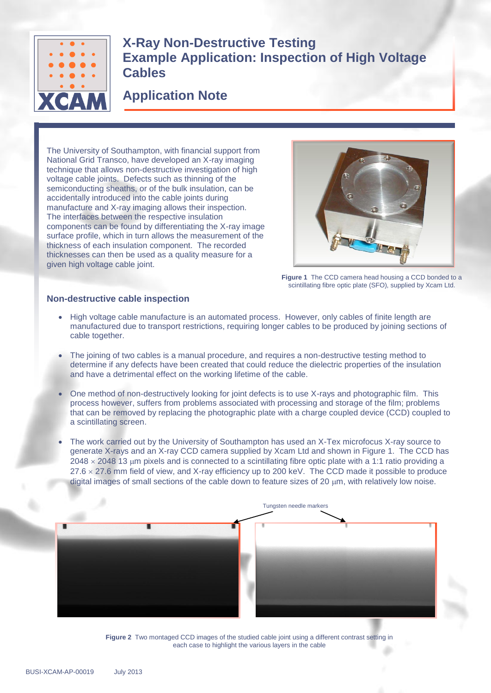

**X-Ray Non-Destructive Testing Example Application: Inspection of High Voltage Cables**

## **Application Note**

The University of Southampton, with financial support from National Grid Transco, have developed an X-ray imaging technique that allows non-destructive investigation of high voltage cable joints. Defects such as thinning of the semiconducting sheaths, or of the bulk insulation, can be accidentally introduced into the cable joints during manufacture and X-ray imaging allows their inspection. The interfaces between the respective insulation components can be found by differentiating the X-ray image surface profile, which in turn allows the measurement of the thickness of each insulation component. The recorded thicknesses can then be used as a quality measure for a given high voltage cable joint.



**Figure 1** The CCD camera head housing a CCD bonded to a scintillating fibre optic plate (SFO), supplied by Xcam Ltd.

## **Non-destructive cable inspection**

- High voltage cable manufacture is an automated process. However, only cables of finite length are manufactured due to transport restrictions, requiring longer cables to be produced by joining sections of cable together.
- The joining of two cables is a manual procedure, and requires a non-destructive testing method to determine if any defects have been created that could reduce the dielectric properties of the insulation and have a detrimental effect on the working lifetime of the cable.
- One method of non-destructively looking for joint defects is to use X-rays and photographic film. This process however, suffers from problems associated with processing and storage of the film; problems that can be removed by replacing the photographic plate with a charge coupled device (CCD) coupled to a scintillating screen.
- The work carried out by the University of Southampton has used an X-Tex microfocus X-ray source to generate X-rays and an X-ray CCD camera supplied by Xcam Ltd and shown in Figure 1. The CCD has  $2048 \times 2048$  13 µm pixels and is connected to a scintillating fibre optic plate with a 1:1 ratio providing a  $27.6 \times 27.6$  mm field of view, and X-ray efficiency up to 200 keV. The CCD made it possible to produce digital images of small sections of the cable down to feature sizes of 20  $\mu$ m, with relatively low noise.



**Figure 2** Two montaged CCD images of the studied cable joint using a different contrast setting in each case to highlight the various layers in the cable